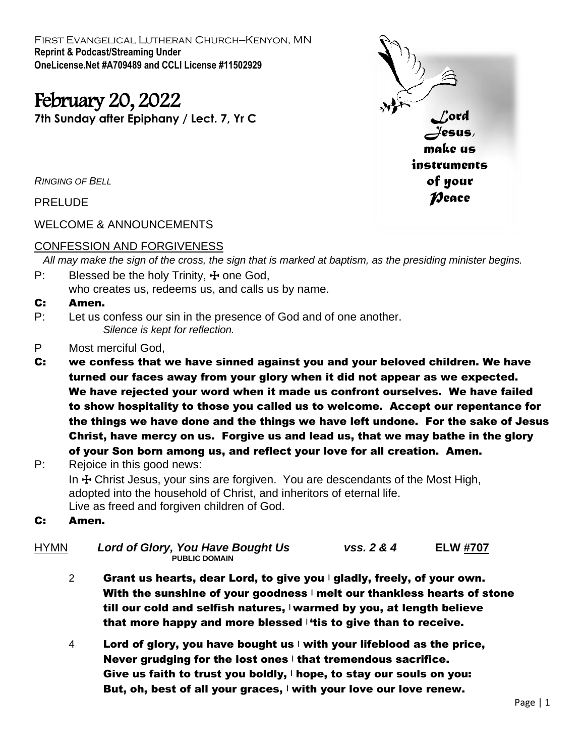First Evangelical Lutheran Church—Kenyon, MN **Reprint & Podcast/Streaming Under OneLicense.Net #A709489 and CCLI License #11502929**

# February 20, 2022

**7th Sunday after Epiphany / Lect. 7, Yr C**



*RINGING OF BELL*

PRELUDE

WELCOME & ANNOUNCEMENTS

# CONFESSION AND FORGIVENESS

 *All may make the sign of the cross, the sign that is marked at baptism, as the presiding minister begins.*

- P: Blessed be the holy Trinity,  $\pm$  one God, who creates us, redeems us, and calls us by name.
- C: Amen.
- P: Let us confess our sin in the presence of God and of one another. *Silence is kept for reflection.*
- P Most merciful God,
- C: we confess that we have sinned against you and your beloved children. We have turned our faces away from your glory when it did not appear as we expected. We have rejected your word when it made us confront ourselves. We have failed to show hospitality to those you called us to welcome. Accept our repentance for the things we have done and the things we have left undone. For the sake of Jesus Christ, have mercy on us. Forgive us and lead us, that we may bathe in the glory of your Son born among us, and reflect your love for all creation. Amen.
- P: Rejoice in this good news: In  $\pm$  Christ Jesus, your sins are forgiven. You are descendants of the Most High, adopted into the household of Christ, and inheritors of eternal life. Live as freed and forgiven children of God.
- C: Amen.
- HYMN *Lord of Glory, You Have Bought Us vss. 2 & 4* **ELW #707 PUBLIC DOMAIN**
	- 2 Grant us hearts, dear Lord, to give you  $\vert$  gladly, freely, of your own. With the sunshine of your goodness  $\mathsf{I}$  melt our thankless hearts of stone till our cold and selfish natures,  $\forall x$  warmed by you, at length believe that more happy and more blessed  $\mathbf{f}$  tis to give than to receive.
	- 4 Lord of glory, you have bought us  $|\psi|$  with your lifeblood as the price, Never grudging for the lost ones  $\pm$  that tremendous sacrifice. Give us faith to trust you boldly,  $\mathsf{I}$  hope, to stay our souls on you: But, oh, best of all your graces,  $\vert$  with your love our love renew.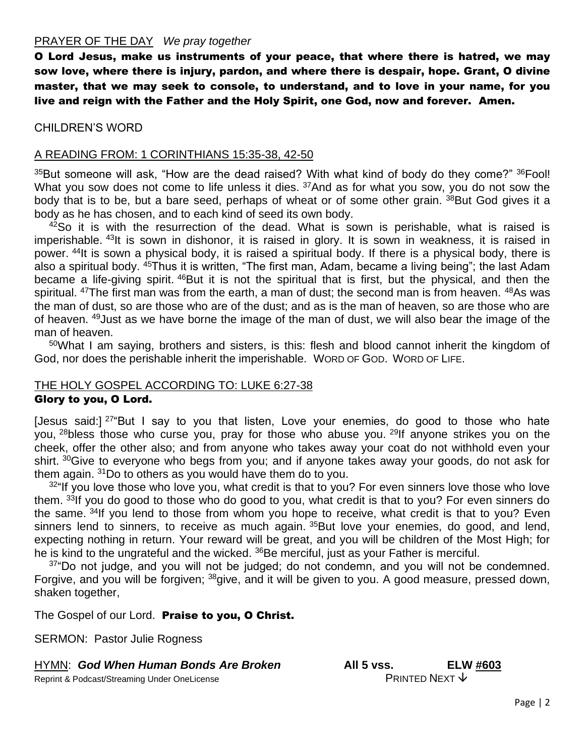#### PRAYER OF THE DAY *We pray together*

O Lord Jesus, make us instruments of your peace, that where there is hatred, we may sow love, where there is injury, pardon, and where there is despair, hope. Grant, O divine master, that we may seek to console, to understand, and to love in your name, for you live and reign with the Father and the Holy Spirit, one God, now and forever. Amen.

## CHILDREN'S WORD

#### A READING FROM: 1 CORINTHIANS 15:35-38, 42-50

 $35$ But someone will ask, "How are the dead raised? With what kind of body do they come?"  $36$  Fool! What you sow does not come to life unless it dies. <sup>37</sup>And as for what you sow, you do not sow the body that is to be, but a bare seed, perhaps of wheat or of some other grain. <sup>38</sup>But God gives it a body as he has chosen, and to each kind of seed its own body.

 $42$ So it is with the resurrection of the dead. What is sown is perishable, what is raised is imperishable. <sup>43</sup>It is sown in dishonor, it is raised in glory. It is sown in weakness, it is raised in power. <sup>44</sup>It is sown a physical body, it is raised a spiritual body. If there is a physical body, there is also a spiritual body. <sup>45</sup>Thus it is written, "The first man, Adam, became a living being"; the last Adam became a life-giving spirit. <sup>46</sup>But it is not the spiritual that is first, but the physical, and then the spiritual. <sup>47</sup>The first man was from the earth, a man of dust; the second man is from heaven. <sup>48</sup>As was the man of dust, so are those who are of the dust; and as is the man of heaven, so are those who are of heaven. <sup>49</sup>Just as we have borne the image of the man of dust, we will also bear the image of the man of heaven.

<sup>50</sup>What I am saying, brothers and sisters, is this: flesh and blood cannot inherit the kingdom of God, nor does the perishable inherit the imperishable. WORD OF GOD. WORD OF LIFE.

#### THE HOLY GOSPEL ACCORDING TO: LUKE 6:27-38 Glory to you, O Lord.

[Jesus said:]  $27^{\circ}$ But I say to you that listen, Love your enemies, do good to those who hate you, <sup>28</sup>bless those who curse you, pray for those who abuse you. <sup>29</sup>If anyone strikes you on the cheek, offer the other also; and from anyone who takes away your coat do not withhold even your shirt. <sup>30</sup>Give to everyone who begs from you; and if anyone takes away your goods, do not ask for them again. <sup>31</sup>Do to others as you would have them do to you.

 $32^{\circ}$  If you love those who love you, what credit is that to you? For even sinners love those who love them. 33If you do good to those who do good to you, what credit is that to you? For even sinners do the same. <sup>34</sup>If you lend to those from whom you hope to receive, what credit is that to you? Even sinners lend to sinners, to receive as much again. <sup>35</sup>But love your enemies, do good, and lend, expecting nothing in return. Your reward will be great, and you will be children of the Most High; for he is kind to the ungrateful and the wicked. <sup>36</sup>Be merciful, just as your Father is merciful.

 $37^{\circ}$ Do not judge, and you will not be judged; do not condemn, and you will not be condemned. Forgive, and you will be forgiven; <sup>38</sup>give, and it will be given to you. A good measure, pressed down, shaken together,

The Gospel of our Lord. Praise to you, O Christ.

SERMON: Pastor Julie Rogness

#### HYMN: *God When Human Bonds Are Broken* **All 5 vss. ELW #603**

Reprint & Podcast/Streaming Under OneLicense **PRINTED NEXT** ↓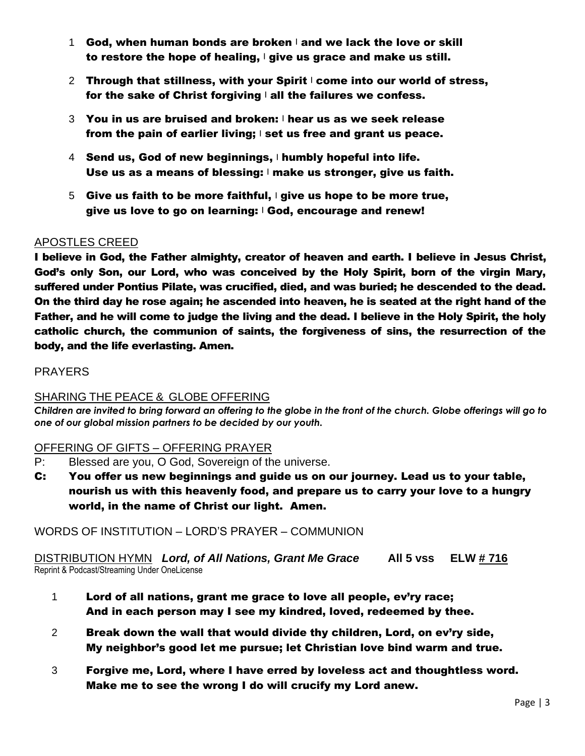- 1 God, when human bonds are broken  $\vert$  and we lack the love or skill to restore the hope of healing,  $\vert$  give us grace and make us still.
- 2 Through that stillness, with your Spirit  $\mathsf{I}$  come into our world of stress, for the sake of Christ forgiving  $\vert$  all the failures we confess.
- $3$  You in us are bruised and broken:  $\blacksquare$  hear us as we seek release from the pain of earlier living; <sup>|</sup> set us free and grant us peace.
- 4 Send us, God of new beginnings, I humbly hopeful into life. Use us as a means of blessing:  $\vert$  make us stronger, give us faith.
- 5 Give us faith to be more faithful,  $\frac{1}{2}$  give us hope to be more true, give us love to go on learning: | God, encourage and renew!

# APOSTLES CREED

I believe in God, the Father almighty, creator of heaven and earth. I believe in Jesus Christ, God's only Son, our Lord, who was conceived by the Holy Spirit, born of the virgin Mary, suffered under Pontius Pilate, was crucified, died, and was buried; he descended to the dead. On the third day he rose again; he ascended into heaven, he is seated at the right hand of the Father, and he will come to judge the living and the dead. I believe in the Holy Spirit, the holy catholic church, the communion of saints, the forgiveness of sins, the resurrection of the body, and the life everlasting. Amen.

## PRAYERS

# SHARING THE PEACE & GLOBE OFFERING

*Children are invited to bring forward an offering to the globe in the front of the church. Globe offerings will go to one of our global mission partners to be decided by our youth.*

# OFFERING OF GIFTS – OFFERING PRAYER

- P: Blessed are you, O God, Sovereign of the universe.
- C: You offer us new beginnings and guide us on our journey. Lead us to your table, nourish us with this heavenly food, and prepare us to carry your love to a hungry world, in the name of Christ our light. Amen.

# WORDS OF INSTITUTION – LORD'S PRAYER – COMMUNION

DISTRIBUTION HYMN *Lord, of All Nations, Grant Me Grace* **All 5 vss ELW # 716** Reprint & Podcast/Streaming Under OneLicense

- 1 Lord of all nations, grant me grace to love all people, ev'ry race; And in each person may I see my kindred, loved, redeemed by thee.
- 2 Break down the wall that would divide thy children, Lord, on ev'ry side, My neighbor's good let me pursue; let Christian love bind warm and true.
- 3 Forgive me, Lord, where I have erred by loveless act and thoughtless word. Make me to see the wrong I do will crucify my Lord anew.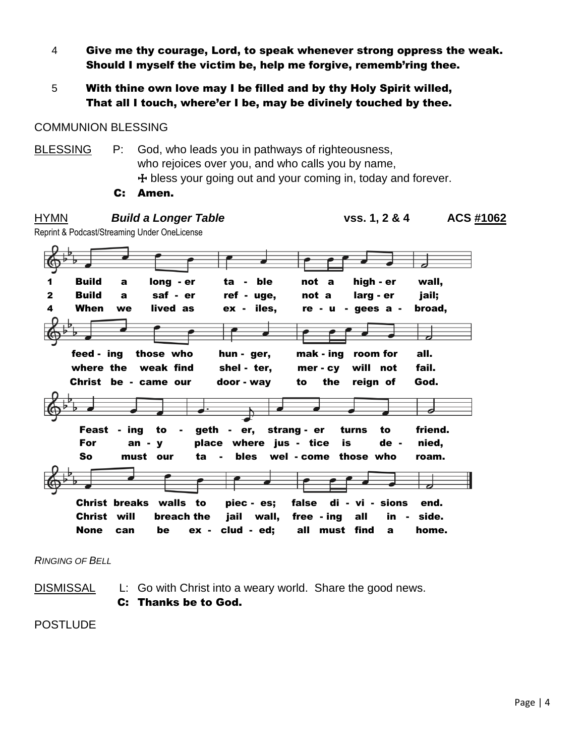- 4 Give me thy courage, Lord, to speak whenever strong oppress the weak. Should I myself the victim be, help me forgive, rememb'ring thee.
- 5 With thine own love may I be filled and by thy Holy Spirit willed, That all I touch, where'er I be, may be divinely touched by thee.

## COMMUNION BLESSING

BLESSING P: God, who leads you in pathways of righteousness, who rejoices over you, and who calls you by name,  $+$  bless your going out and your coming in, today and forever. C: Amen.

| HYMN                                      | vs. 1, 2 & 4<br>ACS #1062<br><b>Build a Longer Table</b><br>Reprint & Podcast/Streaming Under OneLicense |                                                               |  |
|-------------------------------------------|----------------------------------------------------------------------------------------------------------|---------------------------------------------------------------|--|
|                                           |                                                                                                          |                                                               |  |
| <b>Build</b><br>1                         | long - er<br>not a<br>ta - ble<br>a                                                                      | high - er<br>wall,                                            |  |
| <b>Build</b><br>$\mathbf{2}$<br>4<br>When | saf - er<br>ref - uge,<br>not a<br>$\mathbf{a}$<br>lived as<br>ex - iles,<br>we                          | larg - er<br>jail;<br>$re - u - gees a -$<br>broad,           |  |
|                                           |                                                                                                          |                                                               |  |
| feed - ing<br>where the                   | those who<br>mak - ing<br>hun - ger,<br>weak find<br>shel - ter,<br>mer - cy                             | all.<br>room for<br>fail.<br>will not                         |  |
|                                           | Christ be - came our<br>door - way<br>to                                                                 | the<br>God.<br>reign of                                       |  |
|                                           |                                                                                                          |                                                               |  |
| For                                       | to<br>geth - er, strang - er<br>Feast - ing<br>$\blacksquare$<br>place where jus - tice<br>$an - v$      | friend.<br>turns<br>to<br>is<br>de -<br>nied,                 |  |
| So                                        | must our<br>bles<br>ta.                                                                                  | wel - come those who<br>roam.                                 |  |
|                                           |                                                                                                          |                                                               |  |
| Christ will                               | false<br>Christ breaks walls to<br>piec - es;<br>jail wall,<br>breach the<br>free - ing                  | di<br>- vi - sions<br>end.<br>all<br>$\mathsf{in}$ -<br>side. |  |
| <b>None</b>                               | clud - ed;<br>all<br>be<br>$ex -$<br>can                                                                 | must find<br>home.<br>a                                       |  |

*RINGING OF BELL*

DISMISSAL L: Go with Christ into a weary world. Share the good news. C: Thanks be to God.

**POSTLUDE**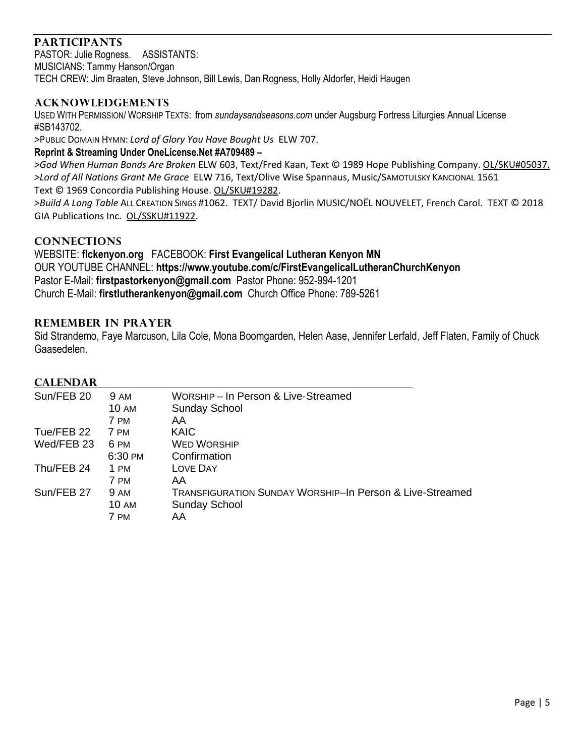# **PARTICIPANTS**

PASTOR: Julie Rogness. ASSISTANTS: MUSICIANS: Tammy Hanson/Organ TECH CREW: Jim Braaten, Steve Johnson, Bill Lewis, Dan Rogness, Holly Aldorfer, Heidi Haugen

## **ACKNOWLEDGEMENTS**

USED WITH PERMISSION/ WORSHIP TEXTS: from *sundaysandseasons.com* under Augsburg Fortress Liturgies Annual License #SB143702.

*>*PUBLIC DOMAIN HYMN: *Lord of Glory You Have Bought Us* ELW 707.

#### **Reprint & Streaming Under OneLicense.Net #A709489 –**

*>God When Human Bonds Are Broken* ELW 603, Text/Fred Kaan, Text © 1989 Hope Publishing Company. OL/SKU#05037. *>Lord of All Nations Grant Me Grace* ELW 716, Text/Olive Wise Spannaus, Music/SAMOTULSKY KANCIONAL 1561 Text © 1969 Concordia Publishing House. OL/SKU#19282.

*>Build A Long Table* ALL CREATION SINGS #1062. TEXT/ David Bjorlin MUSIC/NOËL NOUVELET, French Carol. TEXT © 2018 GIA Publications Inc. OL/SSKU#11922.

#### **CONNECTIONS**

WEBSITE: **flckenyon.org** FACEBOOK: **First Evangelical Lutheran Kenyon MN** OUR YOUTUBE CHANNEL: **https://www.youtube.com/c/FirstEvangelicalLutheranChurchKenyon** Pastor E-Mail: **[firstpastorkenyon@gmail.com](mailto:firstpastorkenyon@gmail.com)** Pastor Phone: 952-994-1201 Church E-Mail: **[firstlutherankenyon@gmail.com](mailto:firstlutherankenyon@gmail.com)** Church Office Phone: 789-5261

#### **REMEMBER IN PRAYER**

Sid Strandemo, Faye Marcuson, Lila Cole, Mona Boomgarden, Helen Aase, Jennifer Lerfald, Jeff Flaten, Family of Chuck Gaasedelen.

#### **CALENDAR**

| Sun/FEB 20 | <b>9 AM</b> | WORSHIP - In Person & Live-Streamed                      |
|------------|-------------|----------------------------------------------------------|
|            | 10 AM       | <b>Sunday School</b>                                     |
|            | 7 PM        | AA                                                       |
| Tue/FEB 22 | 7 PM        | <b>KAIC</b>                                              |
| Wed/FEB 23 | 6 PM        | <b>WED WORSHIP</b>                                       |
|            | 6:30 PM     | Confirmation                                             |
| Thu/FEB 24 | 1 PM        | LOVE DAY                                                 |
|            | 7 PM        | AA                                                       |
| Sun/FEB 27 | <b>9 AM</b> | TRANSFIGURATION SUNDAY WORSHIP-In Person & Live-Streamed |
|            | 10 AM       | <b>Sunday School</b>                                     |
|            | 7 PM        | AA                                                       |